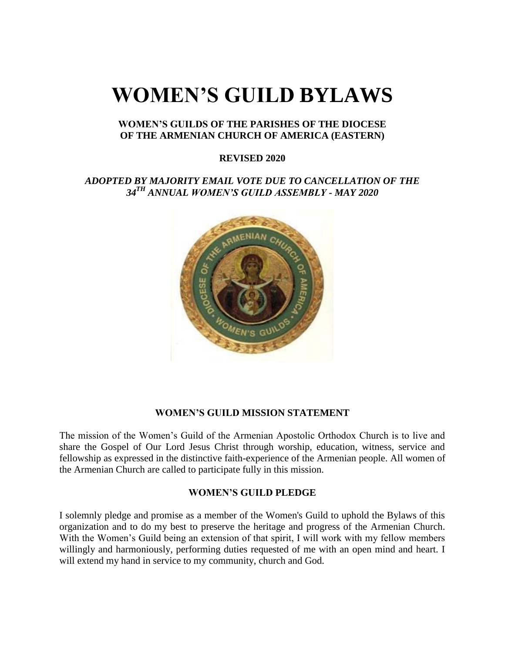# **WOMEN'S GUILD BYLAWS**

#### **WOMEN'S GUILDS OF THE PARISHES OF THE DIOCESE OF THE ARMENIAN CHURCH OF AMERICA (EASTERN)**

#### **REVISED 2020**

## *ADOPTED BY MAJORITY EMAIL VOTE DUE TO CANCELLATION OF THE 34TH ANNUAL WOMEN'S GUILD ASSEMBLY - MAY 2020*



#### **WOMEN'S GUILD MISSION STATEMENT**

The mission of the Women's Guild of the Armenian Apostolic Orthodox Church is to live and share the Gospel of Our Lord Jesus Christ through worship, education, witness, service and fellowship as expressed in the distinctive faith-experience of the Armenian people. All women of the Armenian Church are called to participate fully in this mission.

#### **WOMEN'S GUILD PLEDGE**

I solemnly pledge and promise as a member of the Women's Guild to uphold the Bylaws of this organization and to do my best to preserve the heritage and progress of the Armenian Church. With the Women's Guild being an extension of that spirit, I will work with my fellow members willingly and harmoniously, performing duties requested of me with an open mind and heart. I will extend my hand in service to my community, church and God.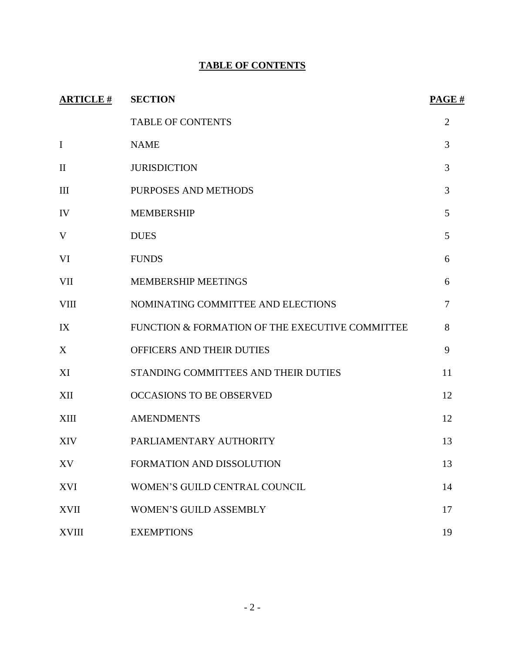# **TABLE OF CONTENTS**

| <b>ARTICLE#</b> | <b>SECTION</b>                                  | PAGE#          |
|-----------------|-------------------------------------------------|----------------|
|                 | <b>TABLE OF CONTENTS</b>                        | 2              |
| $\bf I$         | <b>NAME</b>                                     | 3              |
| $\mathbf{I}$    | <b>JURISDICTION</b>                             | 3              |
| III             | PURPOSES AND METHODS                            | 3              |
| IV              | <b>MEMBERSHIP</b>                               | 5              |
| V               | <b>DUES</b>                                     | 5              |
| VI              | <b>FUNDS</b>                                    | 6              |
| <b>VII</b>      | <b>MEMBERSHIP MEETINGS</b>                      | 6              |
| <b>VIII</b>     | NOMINATING COMMITTEE AND ELECTIONS              | $\overline{7}$ |
| IX              | FUNCTION & FORMATION OF THE EXECUTIVE COMMITTEE | 8              |
| X               | OFFICERS AND THEIR DUTIES                       | 9              |
| XI              | STANDING COMMITTEES AND THEIR DUTIES            | 11             |
| XII             | <b>OCCASIONS TO BE OBSERVED</b>                 | 12             |
| <b>XIII</b>     | <b>AMENDMENTS</b>                               | 12             |
| <b>XIV</b>      | PARLIAMENTARY AUTHORITY                         | 13             |
| XV              | FORMATION AND DISSOLUTION                       | 13             |
| <b>XVI</b>      | WOMEN'S GUILD CENTRAL COUNCIL                   | 14             |
| <b>XVII</b>     | <b>WOMEN'S GUILD ASSEMBLY</b>                   | 17             |
| <b>XVIII</b>    | <b>EXEMPTIONS</b>                               | 19             |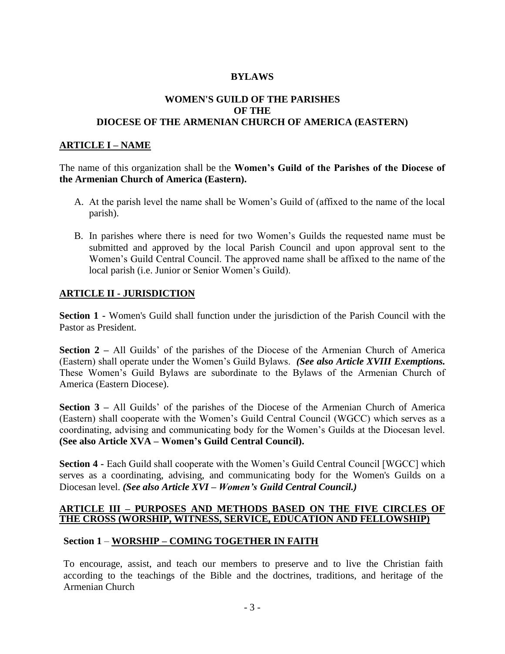## **BYLAWS**

#### **WOMEN'S GUILD OF THE PARISHES OF THE DIOCESE OF THE ARMENIAN CHURCH OF AMERICA (EASTERN)**

### **ARTICLE I – NAME**

The name of this organization shall be the **Women's Guild of the Parishes of the Diocese of the Armenian Church of America (Eastern).**

- A. At the parish level the name shall be Women's Guild of (affixed to the name of the local parish).
- B. In parishes where there is need for two Women's Guilds the requested name must be submitted and approved by the local Parish Council and upon approval sent to the Women's Guild Central Council. The approved name shall be affixed to the name of the local parish (i.e. Junior or Senior Women's Guild).

#### **ARTICLE II - JURISDICTION**

**Section 1 -** Women's Guild shall function under the jurisdiction of the Parish Council with the Pastor as President.

**Section 2 –** All Guilds' of the parishes of the Diocese of the Armenian Church of America (Eastern) shall operate under the Women's Guild Bylaws. *(See also Article XVIII Exemptions.*  These Women's Guild Bylaws are subordinate to the Bylaws of the Armenian Church of America (Eastern Diocese).

**Section 3 –** All Guilds' of the parishes of the Diocese of the Armenian Church of America (Eastern) shall cooperate with the Women's Guild Central Council (WGCC) which serves as a coordinating, advising and communicating body for the Women's Guilds at the Diocesan level. **(See also Article XVA – Women's Guild Central Council).**

**Section 4 -** Each Guild shall cooperate with the Women's Guild Central Council [WGCC] which serves as a coordinating, advising, and communicating body for the Women's Guilds on a Diocesan level. *(See also Article XVI – Women's Guild Central Council.)*

#### **ARTICLE III – PURPOSES AND METHODS BASED ON THE FIVE CIRCLES OF THE CROSS (WORSHIP, WITNESS, SERVICE, EDUCATION AND FELLOWSHIP)**

## **Section 1** – **WORSHIP – COMING TOGETHER IN FAITH**

To encourage, assist, and teach our members to preserve and to live the Christian faith according to the teachings of the Bible and the doctrines, traditions, and heritage of the Armenian Church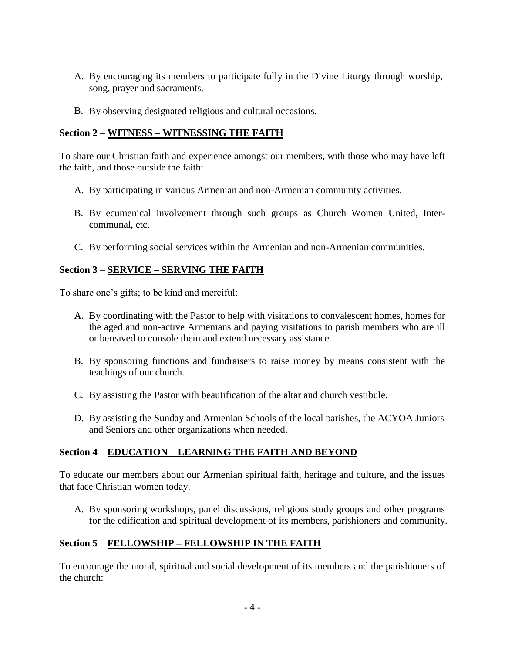- A. By encouraging its members to participate fully in the Divine Liturgy through worship, song, prayer and sacraments.
- B. By observing designated religious and cultural occasions.

# **Section 2** – **WITNESS – WITNESSING THE FAITH**

To share our Christian faith and experience amongst our members, with those who may have left the faith, and those outside the faith:

- A. By participating in various Armenian and non-Armenian community activities.
- B. By ecumenical involvement through such groups as Church Women United, Intercommunal, etc.
- C. By performing social services within the Armenian and non-Armenian communities.

# **Section 3** – **SERVICE – SERVING THE FAITH**

To share one's gifts; to be kind and merciful:

- A. By coordinating with the Pastor to help with visitations to convalescent homes, homes for the aged and non-active Armenians and paying visitations to parish members who are ill or bereaved to console them and extend necessary assistance.
- B. By sponsoring functions and fundraisers to raise money by means consistent with the teachings of our church.
- C. By assisting the Pastor with beautification of the altar and church vestibule.
- D. By assisting the Sunday and Armenian Schools of the local parishes, the ACYOA Juniors and Seniors and other organizations when needed.

# **Section 4** – **EDUCATION – LEARNING THE FAITH AND BEYOND**

To educate our members about our Armenian spiritual faith, heritage and culture, and the issues that face Christian women today.

A. By sponsoring workshops, panel discussions, religious study groups and other programs for the edification and spiritual development of its members, parishioners and community.

# **Section 5** – **FELLOWSHIP – FELLOWSHIP IN THE FAITH**

To encourage the moral, spiritual and social development of its members and the parishioners of the church: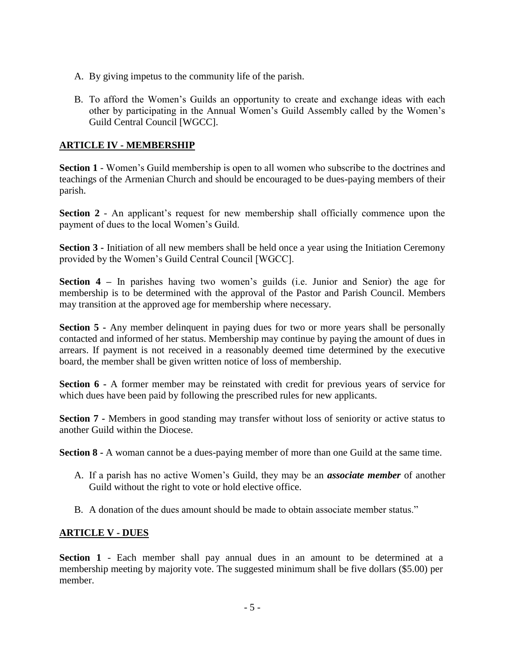- A. By giving impetus to the community life of the parish.
- B. To afford the Women's Guilds an opportunity to create and exchange ideas with each other by participating in the Annual Women's Guild Assembly called by the Women's Guild Central Council [WGCC].

## **ARTICLE IV - MEMBERSHIP**

**Section 1** - Women's Guild membership is open to all women who subscribe to the doctrines and teachings of the Armenian Church and should be encouraged to be dues-paying members of their parish.

**Section 2** - An applicant's request for new membership shall officially commence upon the payment of dues to the local Women's Guild.

**Section 3 -** Initiation of all new members shall be held once a year using the Initiation Ceremony provided by the Women's Guild Central Council [WGCC].

**Section 4 –** In parishes having two women's guilds (i.e. Junior and Senior) the age for membership is to be determined with the approval of the Pastor and Parish Council. Members may transition at the approved age for membership where necessary.

**Section 5 -** Any member delinquent in paying dues for two or more years shall be personally contacted and informed of her status. Membership may continue by paying the amount of dues in arrears. If payment is not received in a reasonably deemed time determined by the executive board, the member shall be given written notice of loss of membership.

**Section 6 -** A former member may be reinstated with credit for previous years of service for which dues have been paid by following the prescribed rules for new applicants.

**Section 7 -** Members in good standing may transfer without loss of seniority or active status to another Guild within the Diocese.

**Section 8 -** A woman cannot be a dues-paying member of more than one Guild at the same time.

- A. If a parish has no active Women's Guild, they may be an *associate member* of another Guild without the right to vote or hold elective office.
- B. A donation of the dues amount should be made to obtain associate member status."

## **ARTICLE V - DUES**

**Section 1** - Each member shall pay annual dues in an amount to be determined at a membership meeting by majority vote. The suggested minimum shall be five dollars (\$5.00) per member.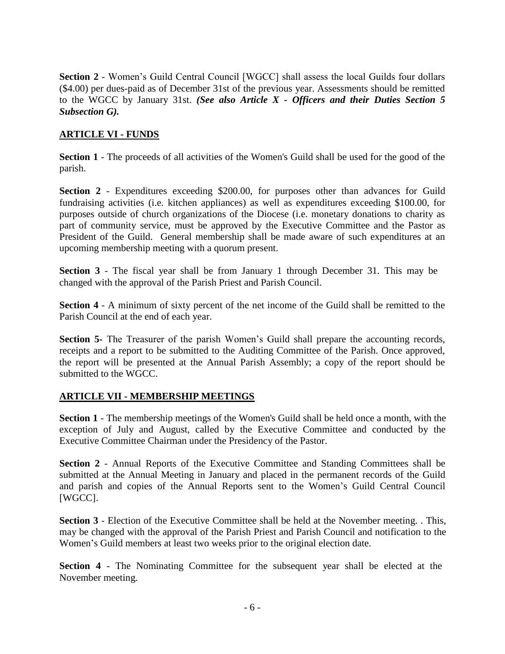**Section 2** - Women's Guild Central Council [WGCC] shall assess the local Guilds four dollars (\$4.00) per dues-paid as of December 31st of the previous year. Assessments should be remitted to the WGCC by January 31st. *(See also Article X - Officers and their Duties Section 5 Subsection G).*

# **ARTICLE VI - FUNDS**

**Section 1** - The proceeds of all activities of the Women's Guild shall be used for the good of the parish.

**Section 2** - Expenditures exceeding \$200.00, for purposes other than advances for Guild fundraising activities (i.e. kitchen appliances) as well as expenditures exceeding \$100.00, for purposes outside of church organizations of the Diocese (i.e. monetary donations to charity as part of community service, must be approved by the Executive Committee and the Pastor as President of the Guild. General membership shall be made aware of such expenditures at an upcoming membership meeting with a quorum present.

**Section 3** - The fiscal year shall be from January 1 through December 31. This may be changed with the approval of the Parish Priest and Parish Council.

**Section 4** - A minimum of sixty percent of the net income of the Guild shall be remitted to the Parish Council at the end of each year.

**Section 5-** The Treasurer of the parish Women's Guild shall prepare the accounting records, receipts and a report to be submitted to the Auditing Committee of the Parish. Once approved, the report will be presented at the Annual Parish Assembly; a copy of the report should be submitted to the WGCC.

# **ARTICLE VII - MEMBERSHIP MEETINGS**

**Section 1** - The membership meetings of the Women's Guild shall be held once a month, with the exception of July and August, called by the Executive Committee and conducted by the Executive Committee Chairman under the Presidency of the Pastor.

**Section 2** - Annual Reports of the Executive Committee and Standing Committees shall be submitted at the Annual Meeting in January and placed in the permanent records of the Guild and parish and copies of the Annual Reports sent to the Women's Guild Central Council [WGCC].

**Section 3** - Election of the Executive Committee shall be held at the November meeting. . This, may be changed with the approval of the Parish Priest and Parish Council and notification to the Women's Guild members at least two weeks prior to the original election date.

**Section 4** - The Nominating Committee for the subsequent year shall be elected at the November meeting.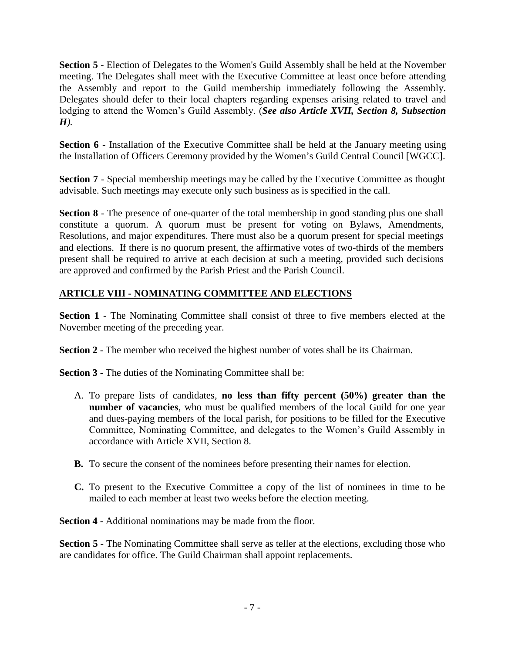Section 5 - Election of Delegates to the Women's Guild Assembly shall be held at the November meeting. The Delegates shall meet with the Executive Committee at least once before attending the Assembly and report to the Guild membership immediately following the Assembly. Delegates should defer to their local chapters regarding expenses arising related to travel and lodging to attend the Women's Guild Assembly. (*See also Article XVII, Section 8, Subsection H).*

**Section 6** - Installation of the Executive Committee shall be held at the January meeting using the Installation of Officers Ceremony provided by the Women's Guild Central Council [WGCC].

**Section 7** - Special membership meetings may be called by the Executive Committee as thought advisable. Such meetings may execute only such business as is specified in the call.

**Section 8** - The presence of one-quarter of the total membership in good standing plus one shall constitute a quorum. A quorum must be present for voting on Bylaws, Amendments, Resolutions, and major expenditures. There must also be a quorum present for special meetings and elections. If there is no quorum present, the affirmative votes of two-thirds of the members present shall be required to arrive at each decision at such a meeting, provided such decisions are approved and confirmed by the Parish Priest and the Parish Council.

# **ARTICLE VIII - NOMINATING COMMITTEE AND ELECTIONS**

**Section 1** - The Nominating Committee shall consist of three to five members elected at the November meeting of the preceding year.

**Section 2** - The member who received the highest number of votes shall be its Chairman.

**Section 3** - The duties of the Nominating Committee shall be:

- A. To prepare lists of candidates*,* **no less than fifty percent (50%) greater than the number of vacancies**, who must be qualified members of the local Guild for one year and dues-paying members of the local parish, for positions to be filled for the Executive Committee, Nominating Committee, and delegates to the Women's Guild Assembly in accordance with Article XVII, Section 8.
- **B.** To secure the consent of the nominees before presenting their names for election.
- **C.** To present to the Executive Committee a copy of the list of nominees in time to be mailed to each member at least two weeks before the election meeting.

**Section 4** - Additional nominations may be made from the floor.

**Section 5** - The Nominating Committee shall serve as teller at the elections, excluding those who are candidates for office. The Guild Chairman shall appoint replacements.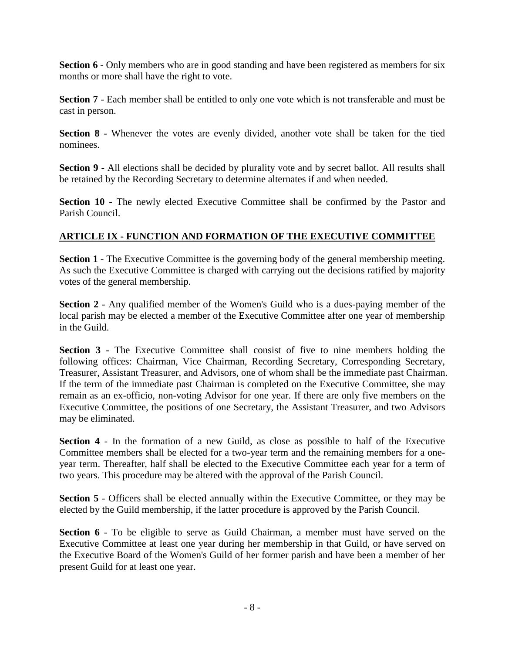**Section 6** - Only members who are in good standing and have been registered as members for six months or more shall have the right to vote.

**Section 7** - Each member shall be entitled to only one vote which is not transferable and must be cast in person.

**Section 8** - Whenever the votes are evenly divided, another vote shall be taken for the tied nominees.

**Section 9** - All elections shall be decided by plurality vote and by secret ballot. All results shall be retained by the Recording Secretary to determine alternates if and when needed.

**Section 10** - The newly elected Executive Committee shall be confirmed by the Pastor and Parish Council.

# **ARTICLE IX - FUNCTION AND FORMATION OF THE EXECUTIVE COMMITTEE**

**Section 1** - The Executive Committee is the governing body of the general membership meeting. As such the Executive Committee is charged with carrying out the decisions ratified by majority votes of the general membership.

**Section 2** - Any qualified member of the Women's Guild who is a dues-paying member of the local parish may be elected a member of the Executive Committee after one year of membership in the Guild.

**Section 3** - The Executive Committee shall consist of five to nine members holding the following offices: Chairman, Vice Chairman, Recording Secretary, Corresponding Secretary, Treasurer, Assistant Treasurer, and Advisors, one of whom shall be the immediate past Chairman. If the term of the immediate past Chairman is completed on the Executive Committee, she may remain as an ex-officio, non-voting Advisor for one year. If there are only five members on the Executive Committee, the positions of one Secretary, the Assistant Treasurer, and two Advisors may be eliminated.

**Section 4** - In the formation of a new Guild, as close as possible to half of the Executive Committee members shall be elected for a two-year term and the remaining members for a oneyear term. Thereafter, half shall be elected to the Executive Committee each year for a term of two years. This procedure may be altered with the approval of the Parish Council.

**Section 5** - Officers shall be elected annually within the Executive Committee, or they may be elected by the Guild membership, if the latter procedure is approved by the Parish Council.

**Section 6** - To be eligible to serve as Guild Chairman, a member must have served on the Executive Committee at least one year during her membership in that Guild, or have served on the Executive Board of the Women's Guild of her former parish and have been a member of her present Guild for at least one year.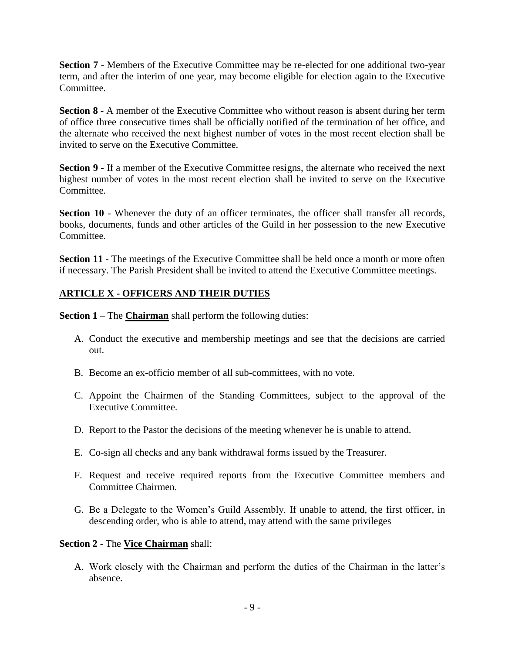**Section 7** - Members of the Executive Committee may be re-elected for one additional two-year term, and after the interim of one year, may become eligible for election again to the Executive Committee.

**Section 8** - A member of the Executive Committee who without reason is absent during her term of office three consecutive times shall be officially notified of the termination of her office, and the alternate who received the next highest number of votes in the most recent election shall be invited to serve on the Executive Committee.

**Section 9** - If a member of the Executive Committee resigns, the alternate who received the next highest number of votes in the most recent election shall be invited to serve on the Executive Committee.

Section 10 - Whenever the duty of an officer terminates, the officer shall transfer all records, books, documents, funds and other articles of the Guild in her possession to the new Executive Committee.

**Section 11** - The meetings of the Executive Committee shall be held once a month or more often if necessary. The Parish President shall be invited to attend the Executive Committee meetings.

## **ARTICLE X - OFFICERS AND THEIR DUTIES**

**Section 1** – The **Chairman** shall perform the following duties:

- A. Conduct the executive and membership meetings and see that the decisions are carried out.
- B. Become an ex-officio member of all sub-committees, with no vote.
- C. Appoint the Chairmen of the Standing Committees, subject to the approval of the Executive Committee.
- D. Report to the Pastor the decisions of the meeting whenever he is unable to attend.
- E. Co-sign all checks and any bank withdrawal forms issued by the Treasurer.
- F. Request and receive required reports from the Executive Committee members and Committee Chairmen.
- G. Be a Delegate to the Women's Guild Assembly. If unable to attend, the first officer, in descending order, who is able to attend, may attend with the same privileges

#### **Section 2** - The **Vice Chairman** shall:

A. Work closely with the Chairman and perform the duties of the Chairman in the latter's absence.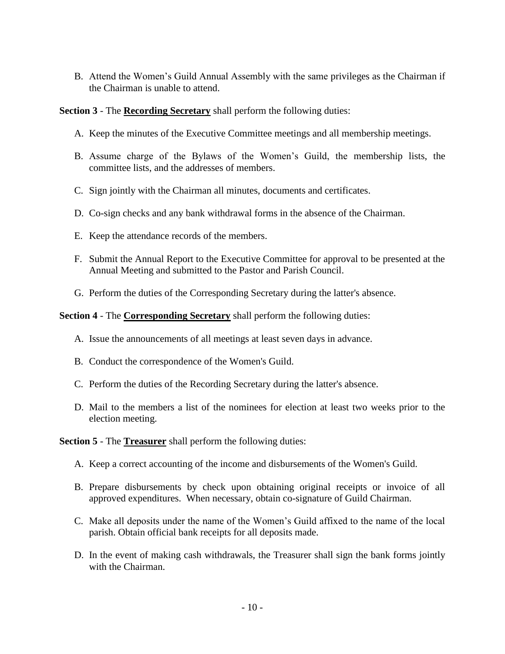B. Attend the Women's Guild Annual Assembly with the same privileges as the Chairman if the Chairman is unable to attend.

#### **Section 3** - The **Recording Secretary** shall perform the following duties:

- A. Keep the minutes of the Executive Committee meetings and all membership meetings.
- B. Assume charge of the Bylaws of the Women's Guild, the membership lists, the committee lists, and the addresses of members.
- C. Sign jointly with the Chairman all minutes, documents and certificates.
- D. Co-sign checks and any bank withdrawal forms in the absence of the Chairman.
- E. Keep the attendance records of the members.
- F. Submit the Annual Report to the Executive Committee for approval to be presented at the Annual Meeting and submitted to the Pastor and Parish Council.
- G. Perform the duties of the Corresponding Secretary during the latter's absence.

#### **Section 4** - The **Corresponding Secretary** shall perform the following duties:

- A. Issue the announcements of all meetings at least seven days in advance.
- B. Conduct the correspondence of the Women's Guild.
- C. Perform the duties of the Recording Secretary during the latter's absence.
- D. Mail to the members a list of the nominees for election at least two weeks prior to the election meeting.

**Section 5** - The **Treasurer** shall perform the following duties:

- A. Keep a correct accounting of the income and disbursements of the Women's Guild.
- B. Prepare disbursements by check upon obtaining original receipts or invoice of all approved expenditures. When necessary, obtain co-signature of Guild Chairman.
- C. Make all deposits under the name of the Women's Guild affixed to the name of the local parish. Obtain official bank receipts for all deposits made.
- D. In the event of making cash withdrawals, the Treasurer shall sign the bank forms jointly with the Chairman.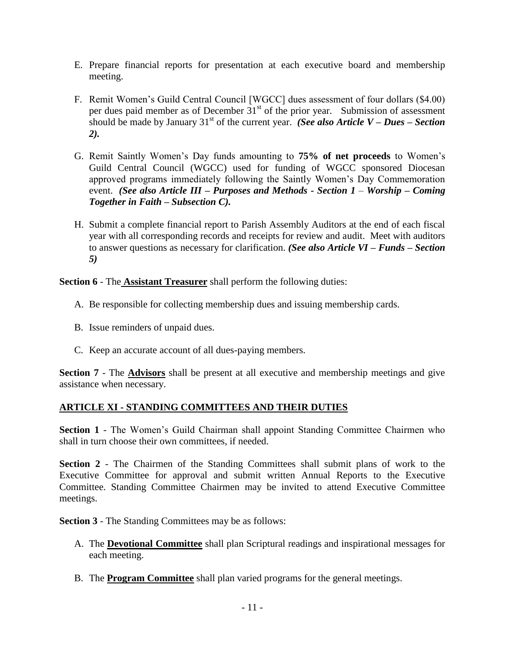- E. Prepare financial reports for presentation at each executive board and membership meeting.
- F. Remit Women's Guild Central Council [WGCC] dues assessment of four dollars (\$4.00) per dues paid member as of December  $31<sup>st</sup>$  of the prior year. Submission of assessment should be made by January 31<sup>st</sup> of the current year. *(See also Article V – Dues – Section*) *2).*
- G. Remit Saintly Women's Day funds amounting to **75% of net proceeds** to Women's Guild Central Council (WGCC) used for funding of WGCC sponsored Diocesan approved programs immediately following the Saintly Women's Day Commemoration event. *(See also Article III – Purposes and Methods - Section 1 – Worship – Coming Together in Faith – Subsection C).*
- H. Submit a complete financial report to Parish Assembly Auditors at the end of each fiscal year with all corresponding records and receipts for review and audit. Meet with auditors to answer questions as necessary for clarification. *(See also Article VI – Funds – Section 5)*

**Section 6** - The **Assistant Treasurer** shall perform the following duties:

- A. Be responsible for collecting membership dues and issuing membership cards.
- B. Issue reminders of unpaid dues.
- C. Keep an accurate account of all dues-paying members.

**Section 7** - The **Advisors** shall be present at all executive and membership meetings and give assistance when necessary.

## **ARTICLE XI - STANDING COMMITTEES AND THEIR DUTIES**

**Section 1** - The Women's Guild Chairman shall appoint Standing Committee Chairmen who shall in turn choose their own committees, if needed.

**Section 2** - The Chairmen of the Standing Committees shall submit plans of work to the Executive Committee for approval and submit written Annual Reports to the Executive Committee. Standing Committee Chairmen may be invited to attend Executive Committee meetings.

**Section 3** - The Standing Committees may be as follows:

- A. The **Devotional Committee** shall plan Scriptural readings and inspirational messages for each meeting.
- B. The **Program Committee** shall plan varied programs for the general meetings.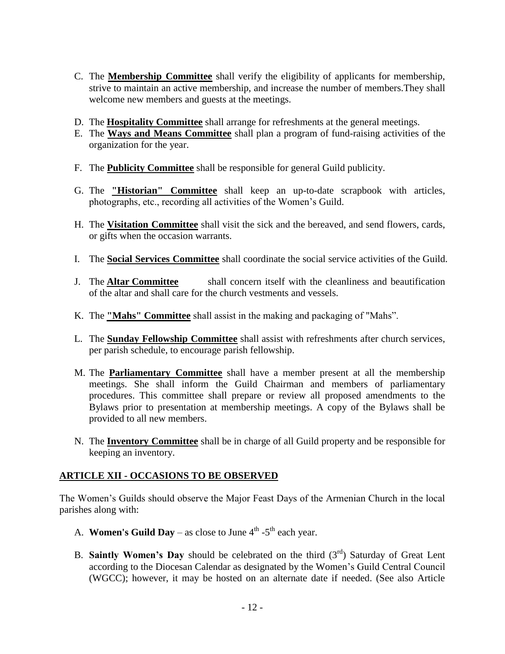- C. The **Membership Committee** shall verify the eligibility of applicants for membership, strive to maintain an active membership, and increase the number of members.They shall welcome new members and guests at the meetings.
- D. The **Hospitality Committee** shall arrange for refreshments at the general meetings.
- E. The **Ways and Means Committee** shall plan a program of fund-raising activities of the organization for the year.
- F. The **Publicity Committee** shall be responsible for general Guild publicity.
- G. The **"Historian" Committee** shall keep an up-to-date scrapbook with articles, photographs, etc., recording all activities of the Women's Guild.
- H. The **Visitation Committee** shall visit the sick and the bereaved, and send flowers, cards, or gifts when the occasion warrants.
- I. The **Social Services Committee** shall coordinate the social service activities of the Guild.
- J. The **Altar Committee** shall concern itself with the cleanliness and beautification of the altar and shall care for the church vestments and vessels.
- K. The **"Mahs" Committee** shall assist in the making and packaging of "Mahs".
- L. The **Sunday Fellowship Committee** shall assist with refreshments after church services, per parish schedule, to encourage parish fellowship.
- M. The **Parliamentary Committee** shall have a member present at all the membership meetings. She shall inform the Guild Chairman and members of parliamentary procedures. This committee shall prepare or review all proposed amendments to the Bylaws prior to presentation at membership meetings. A copy of the Bylaws shall be provided to all new members.
- N. The **Inventory Committee** shall be in charge of all Guild property and be responsible for keeping an inventory.

## **ARTICLE XII - OCCASIONS TO BE OBSERVED**

The Women's Guilds should observe the Major Feast Days of the Armenian Church in the local parishes along with:

- A. **Women's Guild Day** as close to June  $4^{\text{th}}$  -5<sup>th</sup> each year.
- B. **Saintly Women's Day** should be celebrated on the third (3<sup>rd</sup>) Saturday of Great Lent according to the Diocesan Calendar as designated by the Women's Guild Central Council (WGCC); however, it may be hosted on an alternate date if needed. (See also Article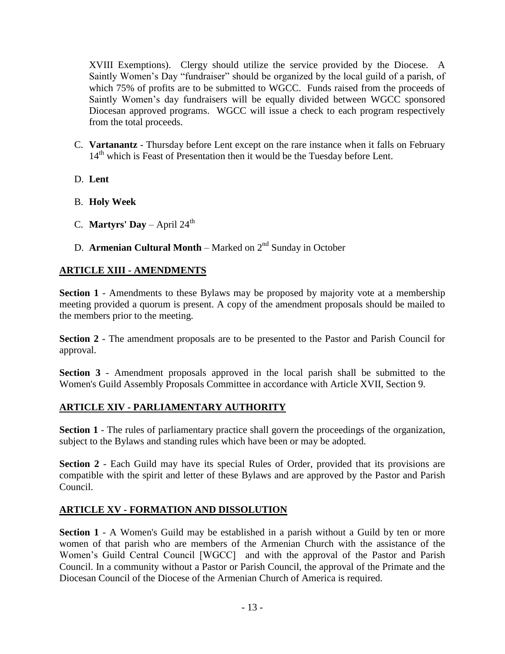XVIII Exemptions). Clergy should utilize the service provided by the Diocese. A Saintly Women's Day "fundraiser" should be organized by the local guild of a parish, of which 75% of profits are to be submitted to WGCC. Funds raised from the proceeds of Saintly Women's day fundraisers will be equally divided between WGCC sponsored Diocesan approved programs. WGCC will issue a check to each program respectively from the total proceeds.

- C. **Vartanantz** Thursday before Lent except on the rare instance when it falls on February 14<sup>th</sup> which is Feast of Presentation then it would be the Tuesday before Lent.
- D. **Lent**
- B. **Holy Week**
- C. **Martyrs' Day** April  $24^{\text{th}}$
- D. **Armenian Cultural Month** Marked on 2<sup>nd</sup> Sunday in October

## **ARTICLE XIII - AMENDMENTS**

**Section 1** - Amendments to these Bylaws may be proposed by majority vote at a membership meeting provided a quorum is present. A copy of the amendment proposals should be mailed to the members prior to the meeting.

**Section 2** - The amendment proposals are to be presented to the Pastor and Parish Council for approval.

**Section 3** - Amendment proposals approved in the local parish shall be submitted to the Women's Guild Assembly Proposals Committee in accordance with Article XVII, Section 9.

## **ARTICLE XIV - PARLIAMENTARY AUTHORITY**

**Section 1** - The rules of parliamentary practice shall govern the proceedings of the organization, subject to the Bylaws and standing rules which have been or may be adopted.

**Section 2** - Each Guild may have its special Rules of Order, provided that its provisions are compatible with the spirit and letter of these Bylaws and are approved by the Pastor and Parish Council.

## **ARTICLE XV - FORMATION AND DISSOLUTION**

**Section 1** - A Women's Guild may be established in a parish without a Guild by ten or more women of that parish who are members of the Armenian Church with the assistance of the Women's Guild Central Council [WGCC] and with the approval of the Pastor and Parish Council. In a community without a Pastor or Parish Council, the approval of the Primate and the Diocesan Council of the Diocese of the Armenian Church of America is required.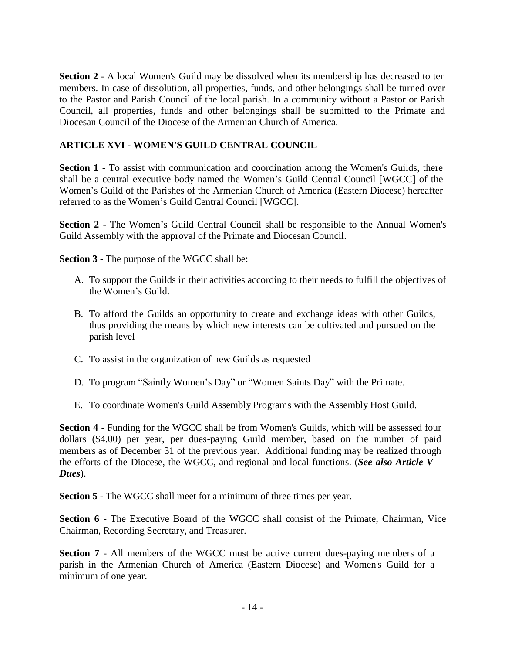**Section 2** - A local Women's Guild may be dissolved when its membership has decreased to ten members. In case of dissolution, all properties, funds, and other belongings shall be turned over to the Pastor and Parish Council of the local parish. In a community without a Pastor or Parish Council, all properties, funds and other belongings shall be submitted to the Primate and Diocesan Council of the Diocese of the Armenian Church of America.

# **ARTICLE XVI - WOMEN'S GUILD CENTRAL COUNCIL**

**Section 1** - To assist with communication and coordination among the Women's Guilds, there shall be a central executive body named the Women's Guild Central Council [WGCC] of the Women's Guild of the Parishes of the Armenian Church of America (Eastern Diocese) hereafter referred to as the Women's Guild Central Council [WGCC].

**Section 2** - The Women's Guild Central Council shall be responsible to the Annual Women's Guild Assembly with the approval of the Primate and Diocesan Council.

**Section 3** - The purpose of the WGCC shall be:

- A. To support the Guilds in their activities according to their needs to fulfill the objectives of the Women's Guild.
- B. To afford the Guilds an opportunity to create and exchange ideas with other Guilds, thus providing the means by which new interests can be cultivated and pursued on the parish level
- C. To assist in the organization of new Guilds as requested
- D. To program "Saintly Women's Day" or "Women Saints Day" with the Primate.
- E. To coordinate Women's Guild Assembly Programs with the Assembly Host Guild.

**Section 4** - Funding for the WGCC shall be from Women's Guilds, which will be assessed four dollars (\$4.00) per year, per dues-paying Guild member, based on the number of paid members as of December 31 of the previous year. Additional funding may be realized through the efforts of the Diocese, the WGCC, and regional and local functions. (*See also Article V – Dues*).

**Section 5** - The WGCC shall meet for a minimum of three times per year.

**Section 6** - The Executive Board of the WGCC shall consist of the Primate, Chairman, Vice Chairman, Recording Secretary, and Treasurer.

**Section 7** - All members of the WGCC must be active current dues-paying members of a parish in the Armenian Church of America (Eastern Diocese) and Women's Guild for a minimum of one year.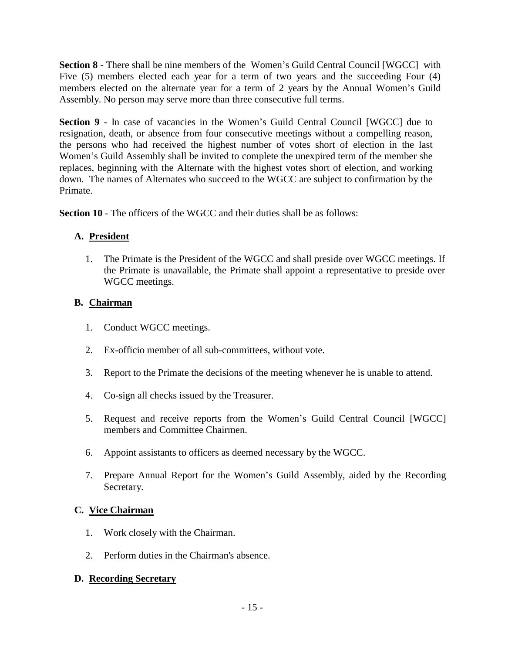**Section 8** - There shall be nine members of the Women's Guild Central Council [WGCC] with Five (5) members elected each year for a term of two years and the succeeding Four (4) members elected on the alternate year for a term of 2 years by the Annual Women's Guild Assembly. No person may serve more than three consecutive full terms.

**Section 9** - In case of vacancies in the Women's Guild Central Council [WGCC] due to resignation, death, or absence from four consecutive meetings without a compelling reason, the persons who had received the highest number of votes short of election in the last Women's Guild Assembly shall be invited to complete the unexpired term of the member she replaces, beginning with the Alternate with the highest votes short of election, and working down. The names of Alternates who succeed to the WGCC are subject to confirmation by the Primate.

**Section 10** - The officers of the WGCC and their duties shall be as follows:

# **A. President**

1. The Primate is the President of the WGCC and shall preside over WGCC meetings. If the Primate is unavailable, the Primate shall appoint a representative to preside over WGCC meetings.

# **B. Chairman**

- 1. Conduct WGCC meetings.
- 2. Ex-officio member of all sub-committees, without vote.
- 3. Report to the Primate the decisions of the meeting whenever he is unable to attend.
- 4. Co-sign all checks issued by the Treasurer.
- 5. Request and receive reports from the Women's Guild Central Council [WGCC] members and Committee Chairmen.
- 6. Appoint assistants to officers as deemed necessary by the WGCC.
- 7. Prepare Annual Report for the Women's Guild Assembly, aided by the Recording Secretary.

# **C. Vice Chairman**

- 1. Work closely with the Chairman.
- 2. Perform duties in the Chairman's absence.

# **D. Recording Secretary**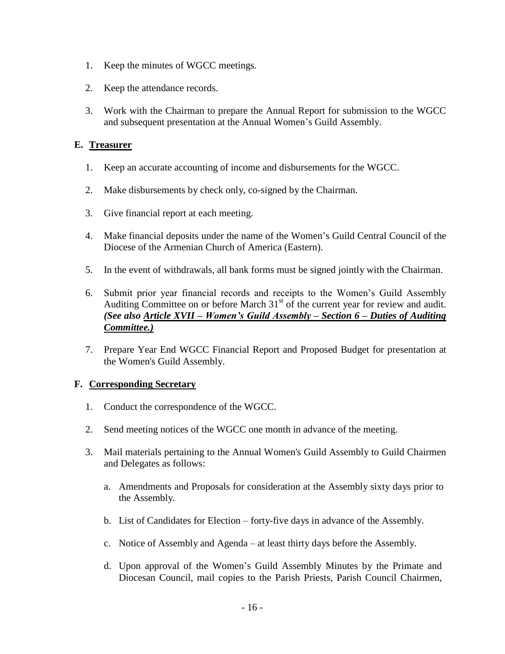- 1. Keep the minutes of WGCC meetings.
- 2. Keep the attendance records.
- 3. Work with the Chairman to prepare the Annual Report for submission to the WGCC and subsequent presentation at the Annual Women's Guild Assembly.

## **E. Treasurer**

- 1. Keep an accurate accounting of income and disbursements for the WGCC.
- 2. Make disbursements by check only, co-signed by the Chairman.
- 3. Give financial report at each meeting.
- 4. Make financial deposits under the name of the Women's Guild Central Council of the Diocese of the Armenian Church of America (Eastern).
- 5. In the event of withdrawals, all bank forms must be signed jointly with the Chairman.
- 6. Submit prior year financial records and receipts to the Women's Guild Assembly Auditing Committee on or before March  $31<sup>st</sup>$  of the current year for review and audit. *(See also Article XVII – Women's Guild Assembly – Section 6 – Duties of Auditing Committee.)*
- 7. Prepare Year End WGCC Financial Report and Proposed Budget for presentation at the Women's Guild Assembly.

# **F. Corresponding Secretary**

- 1. Conduct the correspondence of the WGCC.
- 2. Send meeting notices of the WGCC one month in advance of the meeting.
- 3. Mail materials pertaining to the Annual Women's Guild Assembly to Guild Chairmen and Delegates as follows:
	- a. Amendments and Proposals for consideration at the Assembly sixty days prior to the Assembly.
	- b. List of Candidates for Election forty-five days in advance of the Assembly.
	- c. Notice of Assembly and Agenda at least thirty days before the Assembly.
	- d. Upon approval of the Women's Guild Assembly Minutes by the Primate and Diocesan Council, mail copies to the Parish Priests, Parish Council Chairmen,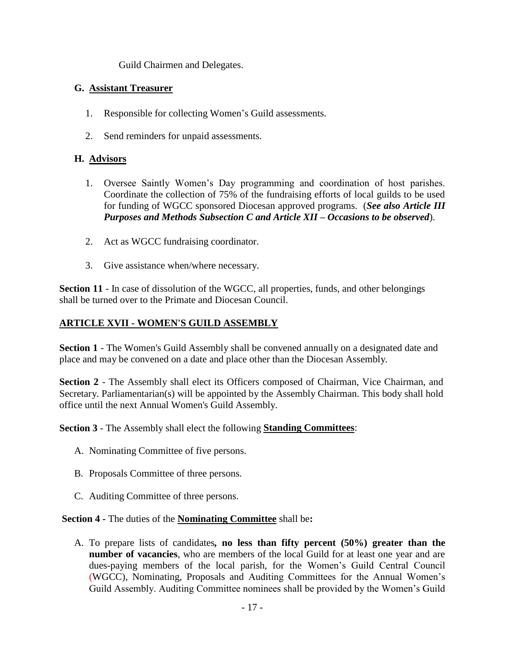Guild Chairmen and Delegates.

## **G. Assistant Treasurer**

- 1. Responsible for collecting Women's Guild assessments.
- 2. Send reminders for unpaid assessments.

# **H. Advisors**

- 1. Oversee Saintly Women's Day programming and coordination of host parishes. Coordinate the collection of 75% of the fundraising efforts of local guilds to be used for funding of WGCC sponsored Diocesan approved programs. (*See also Article III Purposes and Methods Subsection C and Article XII – Occasions to be observed*).
- 2. Act as WGCC fundraising coordinator.
- 3. Give assistance when/where necessary.

Section 11 - In case of dissolution of the WGCC, all properties, funds, and other belongings shall be turned over to the Primate and Diocesan Council.

# **ARTICLE XVII - WOMEN'S GUILD ASSEMBLY**

**Section 1** - The Women's Guild Assembly shall be convened annually on a designated date and place and may be convened on a date and place other than the Diocesan Assembly.

**Section 2** - The Assembly shall elect its Officers composed of Chairman, Vice Chairman, and Secretary. Parliamentarian(s) will be appointed by the Assembly Chairman. This body shall hold office until the next Annual Women's Guild Assembly.

**Section 3** - The Assembly shall elect the following **Standing Committees**:

- A. Nominating Committee of five persons.
- B. Proposals Committee of three persons.
- C. Auditing Committee of three persons.

## **Section 4 -** The duties of the **Nominating Committee** shall be**:**

A. To prepare lists of candidates*,* **no less than fifty percent (50%) greater than the number of vacancies**, who are members of the local Guild for at least one year and are dues-paying members of the local parish, for the Women's Guild Central Council (WGCC), Nominating, Proposals and Auditing Committees for the Annual Women's Guild Assembly. Auditing Committee nominees shall be provided by the Women's Guild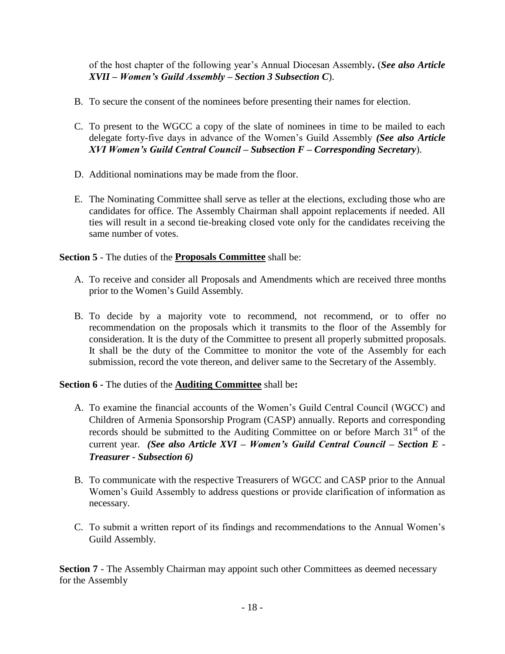of the host chapter of the following year's Annual Diocesan Assembly**.** (*See also Article XVII – Women's Guild Assembly – Section 3 Subsection C*).

- B. To secure the consent of the nominees before presenting their names for election.
- C. To present to the WGCC a copy of the slate of nominees in time to be mailed to each delegate forty-five days in advance of the Women's Guild Assembly *(See also Article XVI Women's Guild Central Council – Subsection F – Corresponding Secretary*).
- D. Additional nominations may be made from the floor.
- E. The Nominating Committee shall serve as teller at the elections, excluding those who are candidates for office. The Assembly Chairman shall appoint replacements if needed. All ties will result in a second tie-breaking closed vote only for the candidates receiving the same number of votes.

**Section 5** - The duties of the **Proposals Committee** shall be:

- A. To receive and consider all Proposals and Amendments which are received three months prior to the Women's Guild Assembly.
- B. To decide by a majority vote to recommend, not recommend, or to offer no recommendation on the proposals which it transmits to the floor of the Assembly for consideration. It is the duty of the Committee to present all properly submitted proposals. It shall be the duty of the Committee to monitor the vote of the Assembly for each submission, record the vote thereon, and deliver same to the Secretary of the Assembly.

**Section 6 -** The duties of the **Auditing Committee** shall be**:** 

- A. To examine the financial accounts of the Women's Guild Central Council (WGCC) and Children of Armenia Sponsorship Program (CASP) annually. Reports and corresponding records should be submitted to the Auditing Committee on or before March  $31<sup>st</sup>$  of the current year*. (See also Article XVI – Women's Guild Central Council – Section E - Treasurer - Subsection 6)*
- B. To communicate with the respective Treasurers of WGCC and CASP prior to the Annual Women's Guild Assembly to address questions or provide clarification of information as necessary.
- C. To submit a written report of its findings and recommendations to the Annual Women's Guild Assembly.

**Section 7** - The Assembly Chairman may appoint such other Committees as deemed necessary for the Assembly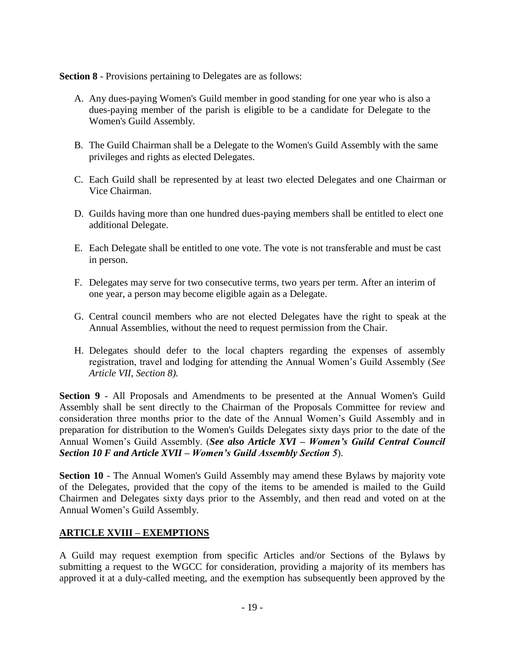**Section 8** - Provisions pertaining to Delegates are as follows:

- A. Any dues-paying Women's Guild member in good standing for one year who is also a dues-paying member of the parish is eligible to be a candidate for Delegate to the Women's Guild Assembly.
- B. The Guild Chairman shall be a Delegate to the Women's Guild Assembly with the same privileges and rights as elected Delegates.
- C. Each Guild shall be represented by at least two elected Delegates and one Chairman or Vice Chairman.
- D. Guilds having more than one hundred dues-paying members shall be entitled to elect one additional Delegate.
- E. Each Delegate shall be entitled to one vote. The vote is not transferable and must be cast in person.
- F. Delegates may serve for two consecutive terms, two years per term. After an interim of one year, a person may become eligible again as a Delegate.
- G. Central council members who are not elected Delegates have the right to speak at the Annual Assemblies, without the need to request permission from the Chair.
- H. Delegates should defer to the local chapters regarding the expenses of assembly registration, travel and lodging for attending the Annual Women's Guild Assembly (*See Article VII, Section 8).*

**Section 9** - All Proposals and Amendments to be presented at the Annual Women's Guild Assembly shall be sent directly to the Chairman of the Proposals Committee for review and consideration three months prior to the date of the Annual Women's Guild Assembly and in preparation for distribution to the Women's Guilds Delegates sixty days prior to the date of the Annual Women's Guild Assembly. (*See also Article XVI – Women's Guild Central Council Section 10 F and Article XVII – Women's Guild Assembly Section 5*).

**Section 10** - The Annual Women's Guild Assembly may amend these Bylaws by majority vote of the Delegates, provided that the copy of the items to be amended is mailed to the Guild Chairmen and Delegates sixty days prior to the Assembly, and then read and voted on at the Annual Women's Guild Assembly.

# **ARTICLE XVIII – EXEMPTIONS**

A Guild may request exemption from specific Articles and/or Sections of the Bylaws by submitting a request to the WGCC for consideration, providing a majority of its members has approved it at a duly-called meeting, and the exemption has subsequently been approved by the